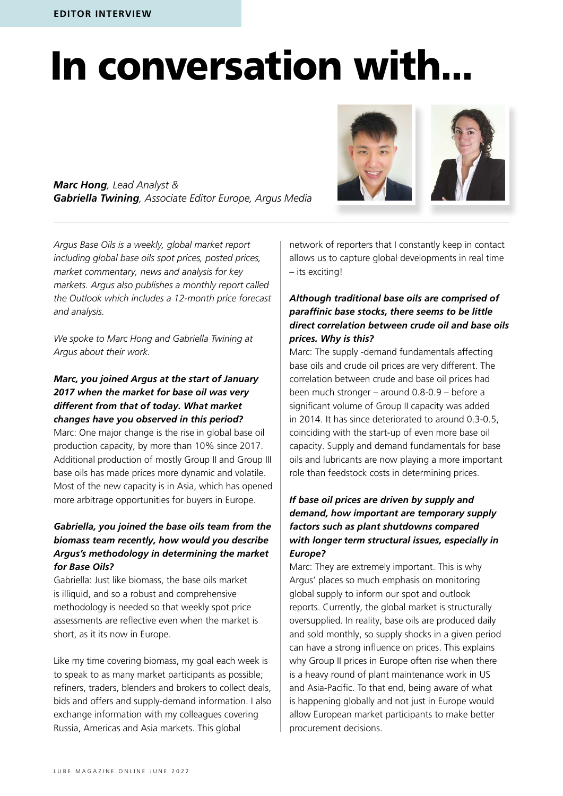# In conversation with...

*Marc Hong, Lead Analyst & Gabriella Twining, Associate Editor Europe, Argus Media* 



*Argus Base Oils is a weekly, global market report including global base oils spot prices, posted prices, market commentary, news and analysis for key markets. Argus also publishes a monthly report called the Outlook which includes a 12-month price forecast and analysis.*

*We spoke to Marc Hong and Gabriella Twining at Argus about their work.* 

# *Marc, you joined Argus at the start of January 2017 when the market for base oil was very different from that of today. What market changes have you observed in this period?*

Marc: One major change is the rise in global base oil production capacity, by more than 10% since 2017. Additional production of mostly Group II and Group III base oils has made prices more dynamic and volatile. Most of the new capacity is in Asia, which has opened more arbitrage opportunities for buyers in Europe.

## *Gabriella, you joined the base oils team from the biomass team recently, how would you describe Argus's methodology in determining the market for Base Oils?*

Gabriella: Just like biomass, the base oils market is illiquid, and so a robust and comprehensive methodology is needed so that weekly spot price assessments are reflective even when the market is short, as it its now in Europe.

Like my time covering biomass, my goal each week is to speak to as many market participants as possible; refiners, traders, blenders and brokers to collect deals, bids and offers and supply-demand information. I also exchange information with my colleagues covering Russia, Americas and Asia markets. This global

network of reporters that I constantly keep in contact allows us to capture global developments in real time – its exciting!

## *Although traditional base oils are comprised of paraffinic base stocks, there seems to be little direct correlation between crude oil and base oils prices. Why is this?*

Marc: The supply -demand fundamentals affecting base oils and crude oil prices are very different. The correlation between crude and base oil prices had been much stronger – around 0.8-0.9 – before a significant volume of Group II capacity was added in 2014. It has since deteriorated to around 0.3-0.5, coinciding with the start-up of even more base oil capacity. Supply and demand fundamentals for base oils and lubricants are now playing a more important role than feedstock costs in determining prices.

# *If base oil prices are driven by supply and demand, how important are temporary supply factors such as plant shutdowns compared with longer term structural issues, especially in Europe?*

Marc: They are extremely important. This is why Argus' places so much emphasis on monitoring global supply to inform our spot and outlook reports. Currently, the global market is structurally oversupplied. In reality, base oils are produced daily and sold monthly, so supply shocks in a given period can have a strong influence on prices. This explains why Group II prices in Europe often rise when there is a heavy round of plant maintenance work in US and Asia-Pacific. To that end, being aware of what is happening globally and not just in Europe would allow European market participants to make better procurement decisions.